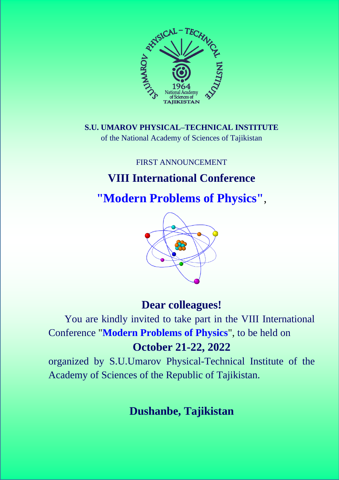

# **S.U. UMAROV PHYSICAL–TECHNICAL INSTITUTE** of the National Academy of Sciences of Tajikistan

FIRST ANNOUNCEMENT

# **VIII International Conference**

**"Modern Problems of Physics"** ,



# **Dear colleagues!**

You are kindly invited to take part in the VIII International Conference "**Modern Problems of Physics**", to be held on **October 21-22, 2022**

organized by S.U.Umarov Physical-Technical Institute of the Academy of Sciences of the Republic of Tajikistan.

# **Dushanbe, Tajikistan**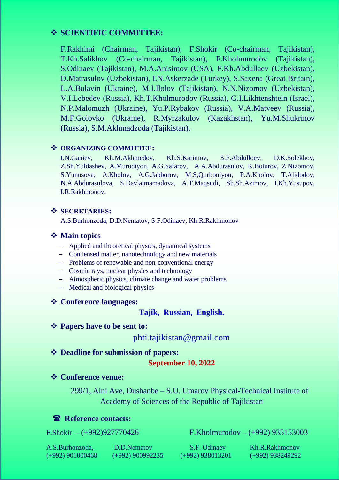## ❖ **SCIENTIFIC COMMITTEE:**

F.Rakhimi (Chairman, Tajikistan), F.Shokir (Co-chairman, Tajikistan), T.Kh.Salikhov (Co-chairman, Tajikistan), F.Kholmurodov (Tajikistan), S.Odinaev (Tajikistan), M.A.Anisimov (USA), F.Kh.Abdullaev (Uzbekistan), D.Matrasulov (Uzbekistan), I.N.Askerzade (Turkey), S.Saxena (Great Britain), L.A.Bulavin (Ukraine), M.I.Ilolov (Tajikistan), N.N.Nizomov (Uzbekistan), V.I.Lebedev (Russia), Kh.T.Kholmurodov (Russia), G.I.Likhtenshtein (Israel), N.P.Malomuzh (Ukraine), Yu.P.Rybakov (Russia), V.A.Matveev (Russia), M.F.Golovko (Ukraine), R.Myrzakulov (Kazakhstan), Yu.M.Shukrinov (Russia), S.M.Akhmadzoda (Tajikistan).

# ❖ **ORGANIZING COMMITTEE:**

I.N.Ganiev, Kh.M.Akhmedov, Kh.S.Karimov, S.F.Abdulloev, D.K.Solekhov, Z.Sh.Yuldashev, A.Murodiyon, A.G.Safarov, A.A.Abdurasulov, K.Boturov, Z.Nizomov, S.Yunusova, A.Kholov, A.G.Jabborov, M.S,Qurboniyon, P.A.Kholov, T.Alidodov, N.A.Abdurasulova, S.Davlatmamadova, A.T.Maqsudi, Sh.Sh.Azimov, I.Kh.Yusupov, I.R.Rakhmonov.

### ❖ **SECRETARIES:**

A.S.Burhonzoda, D.D.Nematov, S.F.Odinaev, Kh.R.Rakhmonov

# ❖ **Main topics**

- − Applied and theoretical physics, dynamical systems
- − Condensed matter, nanotechnology and new materials
- − Problems of renewable and non-conventional energy
- − Cosmic rays, nuclear physics and technology
- − Atmospheric physics, climate change and water problems
- − Medical and biological physics

❖ **Conference languages:** 

## **Tajik, Russian, English.**

❖ **Papers have to be sent to:**

phti.tajikistan@gmail.com

# ❖ **Deadline for submission of papers:**

### **September 10, 2022**

### ❖ **Conference venue:**

299/1, Aini Ave, Dushanbe – S.U. Umarov Physical-Technical Institute of Academy of Sciences of the Republic of Tajikistan

# **Reference contacts:**

F.Shokir – (+992)927770426 F.Kholmurodov – (+992) 935153003

A.S.Burhonzoda, D.D.Nematov S.F. Odinaev Kh.R.Rakhmonov (+992) 901000468 (+992) 900992235 (+992) 938013201 (+992) 938249292